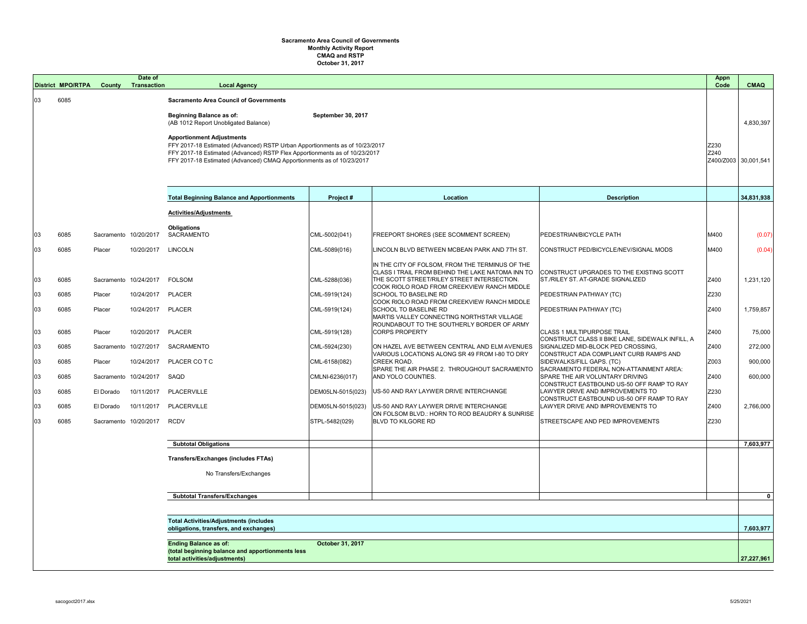## **Sacramento Area Council of Governments Monthly Activity Report CMAQ and RSTP October 31, 2017**

|                                                         | <b>District MPO/RTPA</b> | <b>County</b>         | Date of<br><b>Transaction</b> | <b>Local Agency</b>                                                                                                                                       |                    |                                                                                                     |                                                                                       | <b>Appn</b><br>Code | <b>CMAQ</b>          |
|---------------------------------------------------------|--------------------------|-----------------------|-------------------------------|-----------------------------------------------------------------------------------------------------------------------------------------------------------|--------------------|-----------------------------------------------------------------------------------------------------|---------------------------------------------------------------------------------------|---------------------|----------------------|
| 03                                                      | 6085                     |                       |                               | <b>Sacramento Area Council of Governments</b>                                                                                                             |                    |                                                                                                     |                                                                                       |                     |                      |
|                                                         |                          |                       |                               | <b>Beginning Balance as of:</b>                                                                                                                           | September 30, 2017 |                                                                                                     |                                                                                       |                     |                      |
|                                                         |                          |                       |                               | (AB 1012 Report Unobligated Balance)                                                                                                                      |                    |                                                                                                     |                                                                                       |                     | 4,830,397            |
|                                                         |                          |                       |                               | <b>Apportionment Adjustments</b>                                                                                                                          |                    |                                                                                                     |                                                                                       | Z230                |                      |
|                                                         |                          |                       |                               | FFY 2017-18 Estimated (Advanced) RSTP Urban Apportionments as of 10/23/2017<br>FFY 2017-18 Estimated (Advanced) RSTP Flex Apportionments as of 10/23/2017 |                    |                                                                                                     |                                                                                       |                     |                      |
|                                                         |                          |                       |                               | FFY 2017-18 Estimated (Advanced) CMAQ Apportionments as of 10/23/2017                                                                                     |                    |                                                                                                     |                                                                                       |                     | Z400/Z003 30,001,541 |
|                                                         |                          |                       |                               |                                                                                                                                                           |                    |                                                                                                     |                                                                                       |                     |                      |
|                                                         |                          |                       |                               | <b>Total Beginning Balance and Apportionments</b>                                                                                                         | Project#           | Location                                                                                            | <b>Description</b>                                                                    |                     | 34,831,938           |
|                                                         |                          |                       |                               | <b>Activities/Adjustments</b>                                                                                                                             |                    |                                                                                                     |                                                                                       |                     |                      |
|                                                         |                          |                       |                               | <b>Obligations</b>                                                                                                                                        |                    |                                                                                                     |                                                                                       |                     |                      |
| 03                                                      | 6085                     | Sacramento 10/20/2017 |                               | SACRAMENTO                                                                                                                                                | CML-5002(041)      | FREEPORT SHORES (SEE SCOMMENT SCREEN)                                                               | <b>PEDESTRIAN/BICYCLE PATH</b>                                                        | M400                | (0.07)               |
| 03                                                      | 6085                     | Placer                | 10/20/2017                    | <b>LINCOLN</b>                                                                                                                                            | CML-5089(016)      | LINCOLN BLVD BETWEEN MCBEAN PARK AND 7TH ST.                                                        | CONSTRUCT PED/BICYCLE/NEV/SIGNAL MODS                                                 | M400                | (0.04)               |
|                                                         |                          |                       |                               |                                                                                                                                                           |                    | IN THE CITY OF FOLSOM, FROM THE TERMINUS OF THE<br>CLASS I TRAIL FROM BEHIND THE LAKE NATOMA INN TO | CONSTRUCT UPGRADES TO THE EXISTING SCOTT                                              |                     |                      |
| 03                                                      | 6085                     | Sacramento 10/24/2017 |                               | <b>FOLSOM</b>                                                                                                                                             | CML-5288(036)      | THE SCOTT STREET/RILEY STREET INTERSECTION.<br>COOK RIOLO ROAD FROM CREEKVIEW RANCH MIDDLE          | ST./RILEY ST. AT-GRADE SIGNALIZED                                                     | Z400                | 1,231,120            |
| 03                                                      | 6085                     | Placer                | 10/24/2017                    | <b>PLACER</b>                                                                                                                                             | CML-5919(124)      | <b>SCHOOL TO BASELINE RD</b>                                                                        | PEDESTRIAN PATHWAY (TC)                                                               | Z230                |                      |
| 03                                                      | 6085                     | Placer                | 10/24/2017                    | <b>PLACER</b>                                                                                                                                             | CML-5919(124)      | COOK RIOLO ROAD FROM CREEKVIEW RANCH MIDDLE<br><b>SCHOOL TO BASELINE RD</b>                         | <b>PEDESTRIAN PATHWAY (TC)</b>                                                        | Z400                | 1,759,857            |
|                                                         |                          |                       |                               |                                                                                                                                                           |                    | MARTIS VALLEY CONNECTING NORTHSTAR VILLAGE<br>ROUNDABOUT TO THE SOUTHERLY BORDER OF ARMY            |                                                                                       |                     |                      |
| 03                                                      | 6085                     | Placer                | 10/20/2017 PLACER             |                                                                                                                                                           | CML-5919(128)      | <b>CORPS PROPERTY</b>                                                                               | <b>CLASS 1 MULTIPURPOSE TRAIL</b><br>CONSTRUCT CLASS II BIKE LANE, SIDEWALK INFILL, A | Z400                | 75,000               |
| 03                                                      | 6085                     |                       | Sacramento 10/27/2017         | SACRAMENTO                                                                                                                                                | CML-5924(230)      | ON HAZEL AVE BETWEEN CENTRAL AND ELM AVENUES<br>VARIOUS LOCATIONS ALONG SR 49 FROM I-80 TO DRY      | SIGNALIZED MID-BLOCK PED CROSSING,<br>CONSTRUCT ADA COMPLIANT CURB RAMPS AND          | Z400                | 272,000              |
| 03                                                      | 6085                     | Placer                | 10/24/2017                    | PLACER CO T C                                                                                                                                             | CML-6158(082)      | <b>CREEK ROAD.</b><br>SPARE THE AIR PHASE 2. THROUGHOUT SACRAMENTO                                  | SIDEWALKS/FILL GAPS. (TC)<br>SACRAMENTO FEDERAL NON-ATTAINMENT AREA:                  | Z003                | 900,000              |
| 03                                                      | 6085                     |                       | Sacramento 10/24/2017         | SAQD                                                                                                                                                      | CMLNI-6236(017)    | AND YOLO COUNTIES.                                                                                  | SPARE THE AIR VOLUNTARY DRIVING<br>CONSTRUCT EASTBOUND US-50 OFF RAMP TO RAY          | Z400                | 600,000              |
| 03                                                      | 6085                     | El Dorado             |                               | 10/11/2017 PLACERVILLE                                                                                                                                    | DEM05LN-5015(023)  | US-50 AND RAY LAYWER DRIVE INTERCHANGE                                                              | LAWYER DRIVE AND IMPROVEMENTS TO<br>CONSTRUCT EASTBOUND US-50 OFF RAMP TO RAY         | Z230                |                      |
| 03                                                      | 6085                     | El Dorado             |                               | 10/11/2017 PLACERVILLE                                                                                                                                    | DEM05LN-5015(023)  | US-50 AND RAY LAYWER DRIVE INTERCHANGE<br>ON FOLSOM BLVD.: HORN TO ROD BEAUDRY & SUNRISE            | LAWYER DRIVE AND IMPROVEMENTS TO                                                      | Z400                | 2,766,000            |
| 03                                                      | 6085                     |                       | Sacramento 10/20/2017         | <b>RCDV</b>                                                                                                                                               | STPL-5482(029)     | <b>BLVD TO KILGORE RD</b>                                                                           | <b>STREETSCAPE AND PED IMPROVEMENTS</b>                                               | Z230                |                      |
|                                                         |                          |                       |                               |                                                                                                                                                           |                    |                                                                                                     |                                                                                       |                     |                      |
|                                                         |                          |                       |                               | <b>Subtotal Obligations</b>                                                                                                                               |                    |                                                                                                     |                                                                                       |                     | 7,603,977            |
|                                                         |                          |                       |                               | <b>Transfers/Exchanges (includes FTAs)</b>                                                                                                                |                    |                                                                                                     |                                                                                       |                     |                      |
|                                                         |                          |                       |                               | No Transfers/Exchanges                                                                                                                                    |                    |                                                                                                     |                                                                                       |                     |                      |
|                                                         |                          |                       |                               | <b>Subtotal Transfers/Exchanges</b>                                                                                                                       |                    |                                                                                                     |                                                                                       |                     | 0 <sup>1</sup>       |
|                                                         |                          |                       |                               |                                                                                                                                                           |                    |                                                                                                     |                                                                                       |                     |                      |
|                                                         |                          |                       |                               | <b>Total Activities/Adjustments (includes</b><br>obligations, transfers, and exchanges)                                                                   |                    |                                                                                                     |                                                                                       |                     |                      |
| <b>Ending Balance as of:</b><br><b>October 31, 2017</b> |                          |                       |                               |                                                                                                                                                           |                    |                                                                                                     |                                                                                       |                     |                      |
|                                                         |                          |                       |                               | (total beginning balance and apportionments less<br>total activities/adjustments)                                                                         |                    |                                                                                                     |                                                                                       |                     | 27,227,961           |
|                                                         |                          |                       |                               |                                                                                                                                                           |                    |                                                                                                     |                                                                                       |                     |                      |